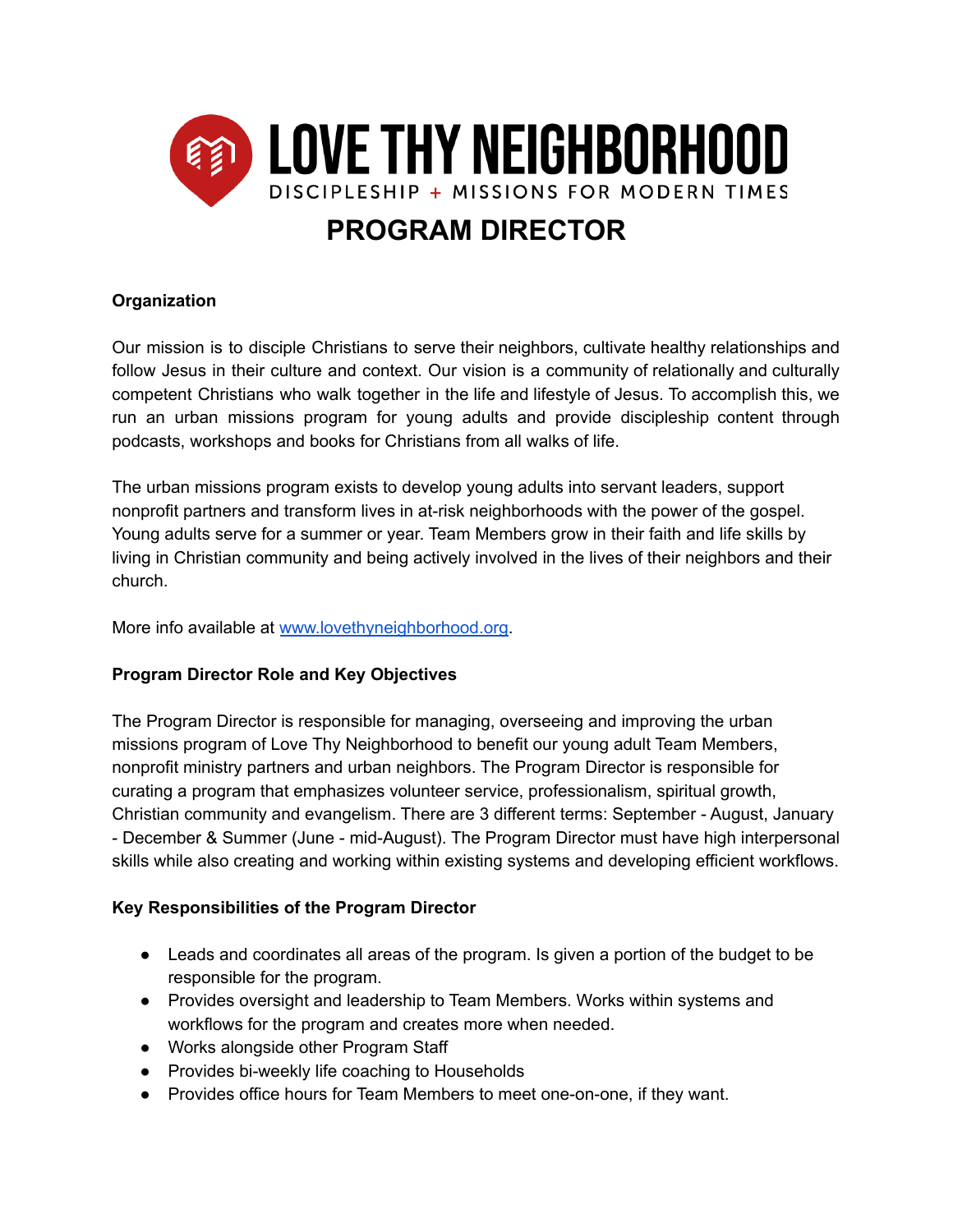

# **PROGRAM DIRECTOR**

### **Organization**

Our mission is to disciple Christians to serve their neighbors, cultivate healthy relationships and follow Jesus in their culture and context. Our vision is a community of relationally and culturally competent Christians who walk together in the life and lifestyle of Jesus. To accomplish this, we run an urban missions program for young adults and provide discipleship content through podcasts, workshops and books for Christians from all walks of life.

The urban missions program exists to develop young adults into servant leaders, support nonprofit partners and transform lives in at-risk neighborhoods with the power of the gospel. Young adults serve for a summer or year. Team Members grow in their faith and life skills by living in Christian community and being actively involved in the lives of their neighbors and their church.

More info available at [www.lovethyneighborhood.org.](http://www.lovethyneighborhood.org)

## **Program Director Role and Key Objectives**

The Program Director is responsible for managing, overseeing and improving the urban missions program of Love Thy Neighborhood to benefit our young adult Team Members, nonprofit ministry partners and urban neighbors. The Program Director is responsible for curating a program that emphasizes volunteer service, professionalism, spiritual growth, Christian community and evangelism. There are 3 different terms: September - August, January - December & Summer (June - mid-August). The Program Director must have high interpersonal skills while also creating and working within existing systems and developing efficient workflows.

#### **Key Responsibilities of the Program Director**

- Leads and coordinates all areas of the program. Is given a portion of the budget to be responsible for the program.
- Provides oversight and leadership to Team Members. Works within systems and workflows for the program and creates more when needed.
- Works alongside other Program Staff
- Provides bi-weekly life coaching to Households
- Provides office hours for Team Members to meet one-on-one, if they want.